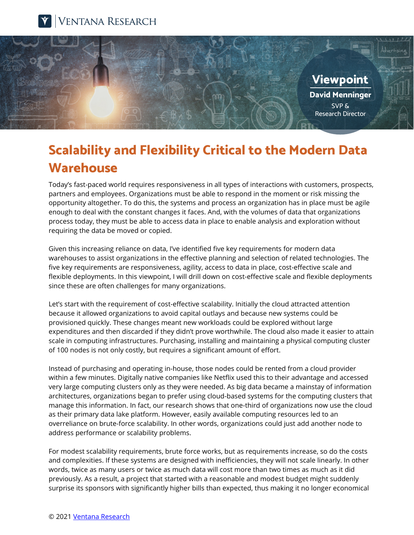



## **Scalability and Flexibility Critical to the Modern Data Warehouse**

Today's fast-paced world requires responsiveness in all types of interactions with customers, prospects, partners and employees. Organizations must be able to respond in the moment or risk missing the opportunity altogether. To do this, the systems and process an organization has in place must be agile enough to deal with the constant changes it faces. And, with the volumes of data that organizations process today, they must be able to access data in place to enable analysis and exploration without requiring the data be moved or copied.

Given this increasing reliance on data, I've identified five key requirements for modern data warehouses to assist organizations in the effective planning and selection of related technologies. The five key requirements are responsiveness, agility, access to data in place, cost-effective scale and flexible deployments. In this viewpoint, I will drill down on cost-effective scale and flexible deployments since these are often challenges for many organizations.

Let's start with the requirement of cost-effective scalability. Initially the cloud attracted attention because it allowed organizations to avoid capital outlays and because new systems could be provisioned quickly. These changes meant new workloads could be explored without large expenditures and then discarded if they didn't prove worthwhile. The cloud also made it easier to attain scale in computing infrastructures. Purchasing, installing and maintaining a physical computing cluster of 100 nodes is not only costly, but requires a significant amount of effort.

Instead of purchasing and operating in-house, those nodes could be rented from a cloud provider within a few minutes. Digitally native companies like Netflix used this to their advantage and accessed very large computing clusters only as they were needed. As big data became a mainstay of information architectures, organizations began to prefer using cloud-based systems for the computing clusters that manage this information. In fact, our research shows that one-third of organizations now use the cloud as their primary data lake platform. However, easily available computing resources led to an overreliance on brute-force scalability. In other words, organizations could just add another node to address performance or scalability problems.

For modest scalability requirements, brute force works, but as requirements increase, so do the costs and complexities. If these systems are designed with inefficiencies, they will not scale linearly. In other words, twice as many users or twice as much data will cost more than two times as much as it did previously. As a result, a project that started with a reasonable and modest budget might suddenly surprise its sponsors with significantly higher bills than expected, thus making it no longer economical